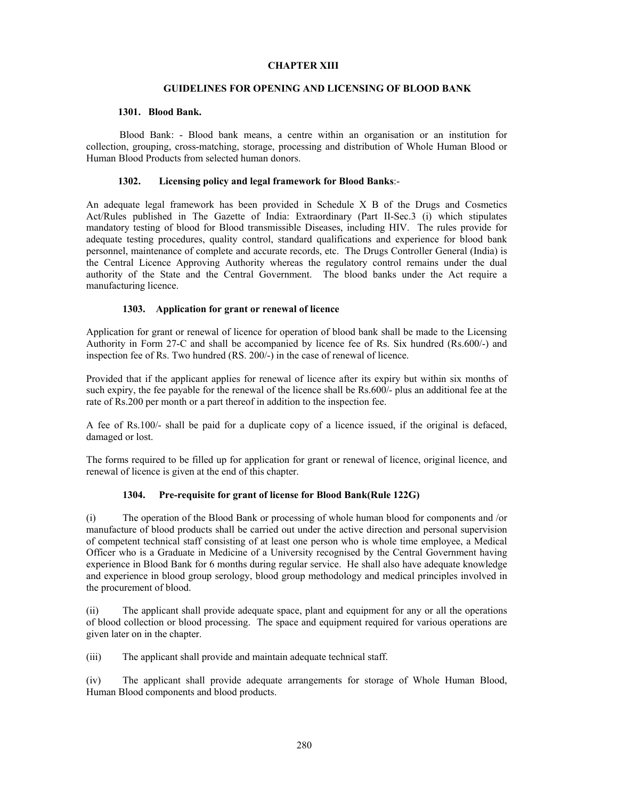#### **CHAPTER XIII**

#### **GUIDELINES FOR OPENING AND LICENSING OF BLOOD BANK**

#### **1301. Blood Bank.**

Blood Bank: - Blood bank means, a centre within an organisation or an institution for collection, grouping, cross-matching, storage, processing and distribution of Whole Human Blood or Human Blood Products from selected human donors.

### **1302. Licensing policy and legal framework for Blood Banks**:-

An adequate legal framework has been provided in Schedule X B of the Drugs and Cosmetics Act/Rules published in The Gazette of India: Extraordinary (Part II-Sec.3 (i) which stipulates mandatory testing of blood for Blood transmissible Diseases, including HIV. The rules provide for adequate testing procedures, quality control, standard qualifications and experience for blood bank personnel, maintenance of complete and accurate records, etc. The Drugs Controller General (India) is the Central Licence Approving Authority whereas the regulatory control remains under the dual authority of the State and the Central Government. The blood banks under the Act require a manufacturing licence.

#### **1303. Application for grant or renewal of licence**

Application for grant or renewal of licence for operation of blood bank shall be made to the Licensing Authority in Form 27-C and shall be accompanied by licence fee of Rs. Six hundred (Rs.600/-) and inspection fee of Rs. Two hundred (RS. 200/-) in the case of renewal of licence.

Provided that if the applicant applies for renewal of licence after its expiry but within six months of such expiry, the fee payable for the renewal of the licence shall be Rs.600/- plus an additional fee at the rate of Rs.200 per month or a part thereof in addition to the inspection fee.

A fee of Rs.100/- shall be paid for a duplicate copy of a licence issued, if the original is defaced, damaged or lost.

The forms required to be filled up for application for grant or renewal of licence, original licence, and renewal of licence is given at the end of this chapter.

### **1304. Pre-requisite for grant of license for Blood Bank(Rule 122G)**

(i) The operation of the Blood Bank or processing of whole human blood for components and /or manufacture of blood products shall be carried out under the active direction and personal supervision of competent technical staff consisting of at least one person who is whole time employee, a Medical Officer who is a Graduate in Medicine of a University recognised by the Central Government having experience in Blood Bank for 6 months during regular service. He shall also have adequate knowledge and experience in blood group serology, blood group methodology and medical principles involved in the procurement of blood.

(ii) The applicant shall provide adequate space, plant and equipment for any or all the operations of blood collection or blood processing. The space and equipment required for various operations are given later on in the chapter.

(iii) The applicant shall provide and maintain adequate technical staff.

(iv) The applicant shall provide adequate arrangements for storage of Whole Human Blood, Human Blood components and blood products.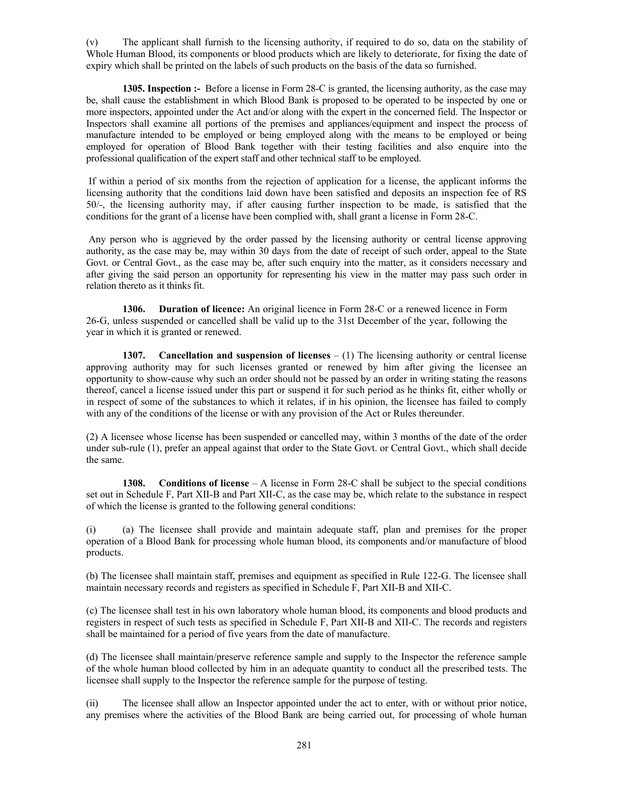(v) The applicant shall furnish to the licensing authority, if required to do so, data on the stability of Whole Human Blood, its components or blood products which are likely to deteriorate, for fixing the date of expiry which shall be printed on the labels of such products on the basis of the data so furnished.

**1305. Inspection :-** Before a license in Form 28-C is granted, the licensing authority, as the case may be, shall cause the establishment in which Blood Bank is proposed to be operated to be inspected by one or more inspectors, appointed under the Act and/or along with the expert in the concerned field. The Inspector or Inspectors shall examine all portions of the premises and appliances/equipment and inspect the process of manufacture intended to be employed or being employed along with the means to be employed or being employed for operation of Blood Bank together with their testing facilities and also enquire into the professional qualification of the expert staff and other technical staff to be employed.

 If within a period of six months from the rejection of application for a license, the applicant informs the licensing authority that the conditions laid down have been satisfied and deposits an inspection fee of RS 50/-, the licensing authority may, if after causing further inspection to be made, is satisfied that the conditions for the grant of a license have been complied with, shall grant a license in Form 28-C.

 Any person who is aggrieved by the order passed by the licensing authority or central license approving authority, as the case may be, may within 30 days from the date of receipt of such order, appeal to the State Govt. or Central Govt., as the case may be, after such enquiry into the matter, as it considers necessary and after giving the said person an opportunity for representing his view in the matter may pass such order in relation thereto as it thinks fit.

**1306. Duration of licence:** An original licence in Form 28-C or a renewed licence in Form 26-G, unless suspended or cancelled shall be valid up to the 31st December of the year, following the year in which it is granted or renewed.

**1307. Cancellation and suspension of licenses** – (1) The licensing authority or central license approving authority may for such licenses granted or renewed by him after giving the licensee an opportunity to show-cause why such an order should not be passed by an order in writing stating the reasons thereof, cancel a license issued under this part or suspend it for such period as he thinks fit, either wholly or in respect of some of the substances to which it relates, if in his opinion, the licensee has failed to comply with any of the conditions of the license or with any provision of the Act or Rules thereunder.

(2) A licensee whose license has been suspended or cancelled may, within 3 months of the date of the order under sub-rule (1), prefer an appeal against that order to the State Govt. or Central Govt., which shall decide the same.

**1308. Conditions of license** – A license in Form 28-C shall be subject to the special conditions set out in Schedule F, Part XII-B and Part XII-C, as the case may be, which relate to the substance in respect of which the license is granted to the following general conditions:

(i) (a) The licensee shall provide and maintain adequate staff, plan and premises for the proper operation of a Blood Bank for processing whole human blood, its components and/or manufacture of blood products.

(b) The licensee shall maintain staff, premises and equipment as specified in Rule 122-G. The licensee shall maintain necessary records and registers as specified in Schedule F, Part XII-B and XII-C.

(c) The licensee shall test in his own laboratory whole human blood, its components and blood products and registers in respect of such tests as specified in Schedule F, Part XII-B and XII-C. The records and registers shall be maintained for a period of five years from the date of manufacture.

(d) The licensee shall maintain/preserve reference sample and supply to the Inspector the reference sample of the whole human blood collected by him in an adequate quantity to conduct all the prescribed tests. The licensee shall supply to the Inspector the reference sample for the purpose of testing.

(ii) The licensee shall allow an Inspector appointed under the act to enter, with or without prior notice, any premises where the activities of the Blood Bank are being carried out, for processing of whole human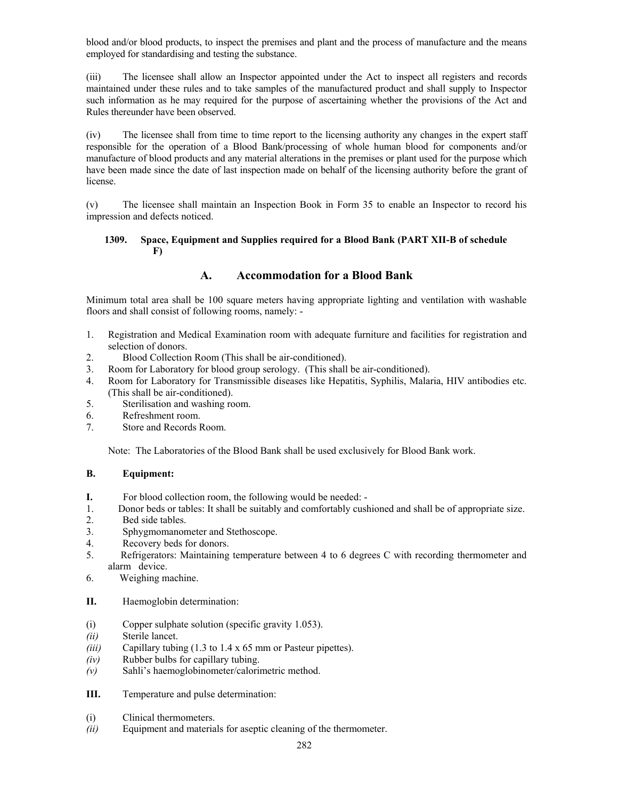blood and/or blood products, to inspect the premises and plant and the process of manufacture and the means employed for standardising and testing the substance.

(iii) The licensee shall allow an Inspector appointed under the Act to inspect all registers and records maintained under these rules and to take samples of the manufactured product and shall supply to Inspector such information as he may required for the purpose of ascertaining whether the provisions of the Act and Rules thereunder have been observed.

(iv) The licensee shall from time to time report to the licensing authority any changes in the expert staff responsible for the operation of a Blood Bank/processing of whole human blood for components and/or manufacture of blood products and any material alterations in the premises or plant used for the purpose which have been made since the date of last inspection made on behalf of the licensing authority before the grant of license.

(v) The licensee shall maintain an Inspection Book in Form 35 to enable an Inspector to record his impression and defects noticed.

### **1309. Space, Equipment and Supplies required for a Blood Bank (PART XII-B of schedule F)**

# **A. Accommodation for a Blood Bank**

Minimum total area shall be 100 square meters having appropriate lighting and ventilation with washable floors and shall consist of following rooms, namely: -

- 1. Registration and Medical Examination room with adequate furniture and facilities for registration and selection of donors.
- 2. Blood Collection Room (This shall be air-conditioned).
- 3. Room for Laboratory for blood group serology. (This shall be air-conditioned).
- 4. Room for Laboratory for Transmissible diseases like Hepatitis, Syphilis, Malaria, HIV antibodies etc. (This shall be air-conditioned).
- 5. Sterilisation and washing room.
- 6. Refreshment room.
- 7. Store and Records Room.

Note: The Laboratories of the Blood Bank shall be used exclusively for Blood Bank work.

#### **B. Equipment:**

- **I.** For blood collection room, the following would be needed: -
- 1. Donor beds or tables: It shall be suitably and comfortably cushioned and shall be of appropriate size.
- 2. Bed side tables.
- 3. Sphygmomanometer and Stethoscope.
- 4. Recovery beds for donors.
- 5. Refrigerators: Maintaining temperature between 4 to 6 degrees C with recording thermometer and alarm device.
- 6. Weighing machine.
- **II.** Haemoglobin determination:
- (i) Copper sulphate solution (specific gravity 1.053).
- *(ii)* Sterile lancet.
- *(iii)* Capillary tubing (1.3 to 1.4 x 65 mm or Pasteur pipettes).
- *(iv)* Rubber bulbs for capillary tubing.
- *(v)* Sahli's haemoglobinometer/calorimetric method.
- **III.** Temperature and pulse determination:
- (i) Clinical thermometers.
- *(ii)* Equipment and materials for aseptic cleaning of the thermometer.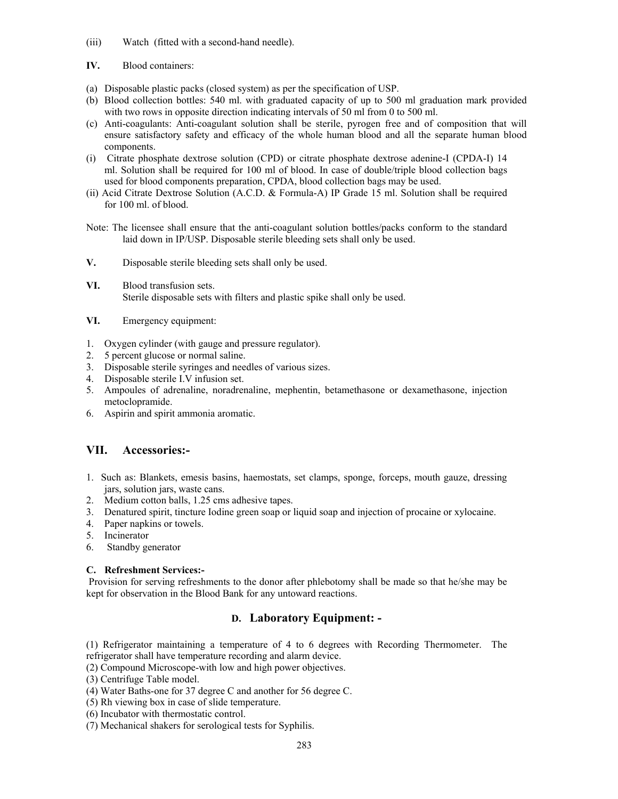(iii) Watch (fitted with a second-hand needle).

# **IV.** Blood containers:

- (a) Disposable plastic packs (closed system) as per the specification of USP.
- (b) Blood collection bottles: 540 ml. with graduated capacity of up to 500 ml graduation mark provided with two rows in opposite direction indicating intervals of 50 ml from 0 to 500 ml.
- (c) Anti-coagulants: Anti-coagulant solution shall be sterile, pyrogen free and of composition that will ensure satisfactory safety and efficacy of the whole human blood and all the separate human blood components.
- (i) Citrate phosphate dextrose solution (CPD) or citrate phosphate dextrose adenine-I (CPDA-I) 14 ml. Solution shall be required for 100 ml of blood. In case of double/triple blood collection bags used for blood components preparation, CPDA, blood collection bags may be used.
- (ii) Acid Citrate Dextrose Solution (A.C.D. & Formula-A) IP Grade 15 ml. Solution shall be required for 100 ml. of blood.

Note: The licensee shall ensure that the anti-coagulant solution bottles/packs conform to the standard laid down in IP/USP. Disposable sterile bleeding sets shall only be used.

- **V.** Disposable sterile bleeding sets shall only be used.
- **VI.** Blood transfusion sets. Sterile disposable sets with filters and plastic spike shall only be used.
- **VI.** Emergency equipment:
- 1. Oxygen cylinder (with gauge and pressure regulator).
- 2. 5 percent glucose or normal saline.
- 3. Disposable sterile syringes and needles of various sizes.
- 4. Disposable sterile I.V infusion set.
- 5. Ampoules of adrenaline, noradrenaline, mephentin, betamethasone or dexamethasone, injection metoclopramide.
- 6. Aspirin and spirit ammonia aromatic.

# **VII. Accessories:-**

- 1. Such as: Blankets, emesis basins, haemostats, set clamps, sponge, forceps, mouth gauze, dressing jars, solution jars, waste cans.
- 2. Medium cotton balls, 1.25 cms adhesive tapes.
- 3. Denatured spirit, tincture Iodine green soap or liquid soap and injection of procaine or xylocaine.
- 4. Paper napkins or towels.
- 5. Incinerator
- 6. Standby generator

### **C. Refreshment Services:-**

 Provision for serving refreshments to the donor after phlebotomy shall be made so that he/she may be kept for observation in the Blood Bank for any untoward reactions.

# **D. Laboratory Equipment: -**

(1) Refrigerator maintaining a temperature of 4 to 6 degrees with Recording Thermometer. The refrigerator shall have temperature recording and alarm device.

- (2) Compound Microscope-with low and high power objectives.
- (3) Centrifuge Table model.
- (4) Water Baths-one for 37 degree C and another for 56 degree C.
- (5) Rh viewing box in case of slide temperature.
- (6) Incubator with thermostatic control.
- (7) Mechanical shakers for serological tests for Syphilis.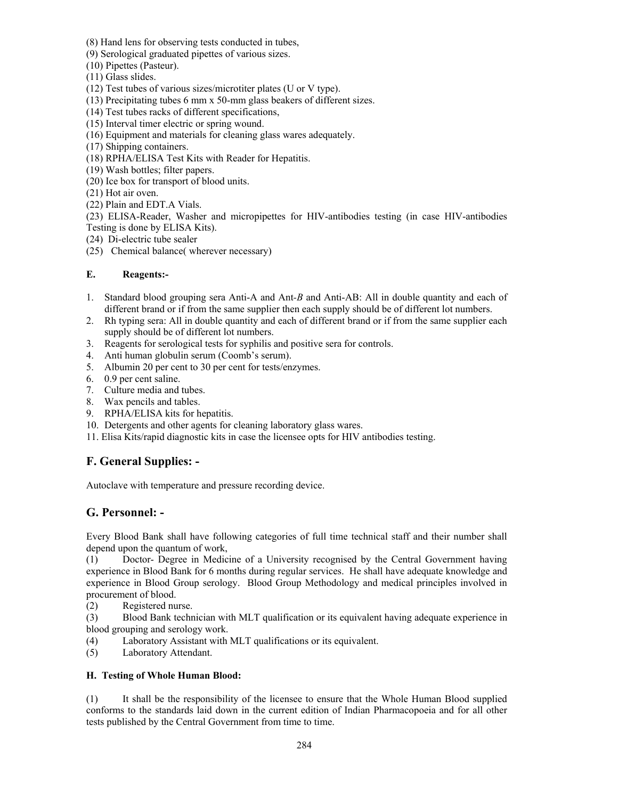- (8) Hand lens for observing tests conducted in tubes,
- (9) Serological graduated pipettes of various sizes.
- (10) Pipettes (Pasteur).
- (11) Glass slides.
- (12) Test tubes of various sizes/microtiter plates (U or V type).
- (13) Precipitating tubes 6 mm x 50-mm glass beakers of different sizes.
- (14) Test tubes racks of different specifications,
- (15) Interval timer electric or spring wound.
- (16) Equipment and materials for cleaning glass wares adequately.
- (17) Shipping containers.
- (18) RPHA/ELISA Test Kits with Reader for Hepatitis.
- (19) Wash bottles; filter papers.
- (20) Ice box for transport of blood units.
- (21) Hot air oven.
- (22) Plain and EDT.A Vials.

(23) ELISA-Reader, Washer and micropipettes for HIV-antibodies testing (in case HIV-antibodies Testing is done by ELISA Kits).

- (24) Di-electric tube sealer
- (25) Chemical balance( wherever necessary)

# **E. Reagents:-**

- 1. Standard blood grouping sera Anti-A and Ant*-B* and Anti-AB: All in double quantity and each of different brand or if from the same supplier then each supply should be of different lot numbers.
- 2. Rh typing sera: All in double quantity and each of different brand or if from the same supplier each supply should be of different lot numbers.
- 3. Reagents for serological tests for syphilis and positive sera for controls.
- 4. Anti human globulin serum (Coomb's serum).
- 5. Albumin 20 per cent to 30 per cent for tests/enzymes.
- 6. 0.9 per cent saline.
- 7. Culture media and tubes.
- 8. Wax pencils and tables.
- 9. RPHA/ELISA kits for hepatitis.
- 10. Detergents and other agents for cleaning laboratory glass wares.
- 11. Elisa Kits/rapid diagnostic kits in case the licensee opts for HIV antibodies testing.

# **F. General Supplies: -**

Autoclave with temperature and pressure recording device.

# **G. Personnel: -**

Every Blood Bank shall have following categories of full time technical staff and their number shall depend upon the quantum of work,

(1) Doctor- Degree in Medicine of a University recognised by the Central Government having experience in Blood Bank for 6 months during regular services. He shall have adequate knowledge and experience in Blood Group serology. Blood Group Methodology and medical principles involved in procurement of blood.

(2) Registered nurse.

(3) Blood Bank technician with MLT qualification or its equivalent having adequate experience in blood grouping and serology work.

- (4) Laboratory Assistant with MLT qualifications or its equivalent.
- (5) Laboratory Attendant.

# **H. Testing of Whole Human Blood:**

(1) It shall be the responsibility of the licensee to ensure that the Whole Human Blood supplied conforms to the standards laid down in the current edition of Indian Pharmacopoeia and for all other tests published by the Central Government from time to time.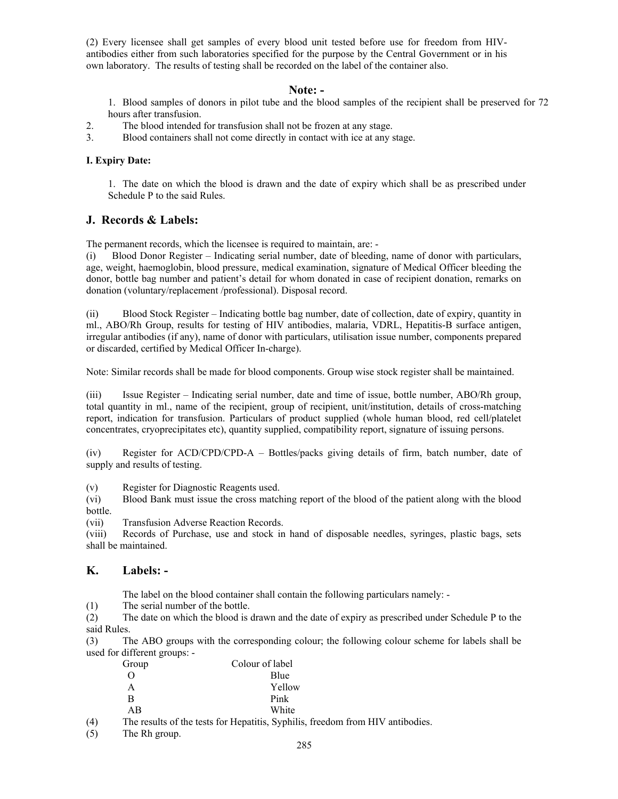(2) Every licensee shall get samples of every blood unit tested before use for freedom from HIVantibodies either from such laboratories specified for the purpose by the Central Government or in his own laboratory. The results of testing shall be recorded on the label of the container also.

## **Note: -**

1. Blood samples of donors in pilot tube and the blood samples of the recipient shall be preserved for 72 hours after transfusion.

- 2. The blood intended for transfusion shall not be frozen at any stage.
- 3. Blood containers shall not come directly in contact with ice at any stage.

### **I. Expiry Date:**

1. The date on which the blood is drawn and the date of expiry which shall be as prescribed under Schedule P to the said Rules.

# **J. Records & Labels:**

The permanent records, which the licensee is required to maintain, are: -

(i) Blood Donor Register – Indicating serial number, date of bleeding, name of donor with particulars, age, weight, haemoglobin, blood pressure, medical examination, signature of Medical Officer bleeding the donor, bottle bag number and patient's detail for whom donated in case of recipient donation, remarks on donation (voluntary/replacement /professional). Disposal record.

(ii) Blood Stock Register – Indicating bottle bag number, date of collection, date of expiry, quantity in ml., ABO/Rh Group, results for testing of HIV antibodies, malaria, VDRL, Hepatitis-B surface antigen, irregular antibodies (if any), name of donor with particulars, utilisation issue number, components prepared or discarded, certified by Medical Officer In-charge).

Note: Similar records shall be made for blood components. Group wise stock register shall be maintained.

(iii) Issue Register – Indicating serial number, date and time of issue, bottle number, ABO/Rh group, total quantity in ml., name of the recipient, group of recipient, unit/institution, details of cross-matching report, indication for transfusion. Particulars of product supplied (whole human blood, red cell/platelet concentrates, cryoprecipitates etc), quantity supplied, compatibility report, signature of issuing persons.

(iv) Register for ACD/CPD/CPD-A – Bottles/packs giving details of firm, batch number, date of supply and results of testing.

(v) Register for Diagnostic Reagents used.

(vi) Blood Bank must issue the cross matching report of the blood of the patient along with the blood bottle.

(vii) Transfusion Adverse Reaction Records.

(viii) Records of Purchase, use and stock in hand of disposable needles, syringes, plastic bags, sets shall be maintained.

# **K. Labels: -**

The label on the blood container shall contain the following particulars namely: -

(1) The serial number of the bottle.

(2) The date on which the blood is drawn and the date of expiry as prescribed under Schedule P to the said Rules.

(3) The ABO groups with the corresponding colour; the following colour scheme for labels shall be used for different groups: -

| Group | Colour of label |
|-------|-----------------|
| 0     | Blue            |
|       | Yellow          |
| R     | Pink            |
| ΔR    | White           |

(4) The results of the tests for Hepatitis, Syphilis, freedom from HIV antibodies.

(5) The Rh group.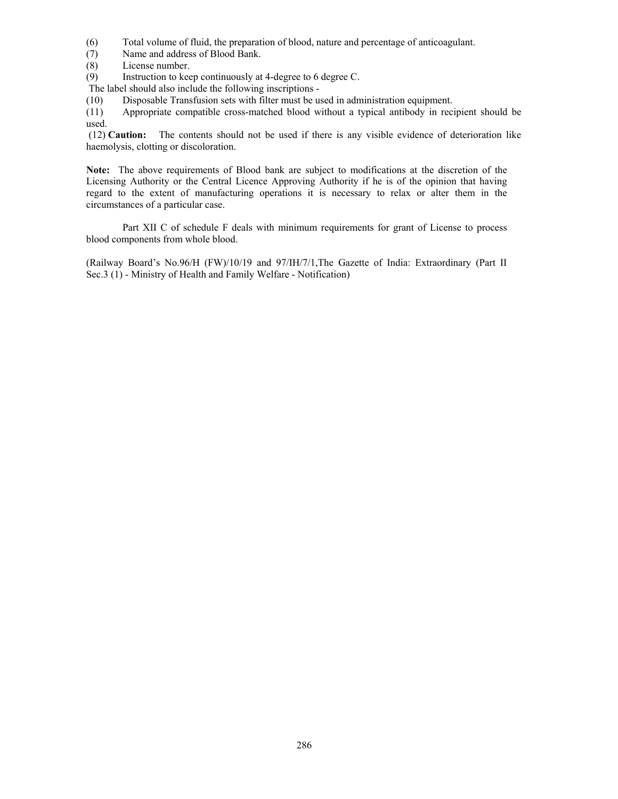(6) Total volume of fluid, the preparation of blood, nature and percentage of anticoagulant.

- (7) Name and address of Blood Bank.
- (8) License number.
- (9) Instruction to keep continuously at 4-degree to 6 degree C.

The label should also include the following inscriptions -

(10) Disposable Transfusion sets with filter must be used in administration equipment.

(11) Appropriate compatible cross-matched blood without a typical antibody in recipient should be used.

 (12) **Caution:** The contents should not be used if there is any visible evidence of deterioration like haemolysis, clotting or discoloration.

**Note:** The above requirements of Blood bank are subject to modifications at the discretion of the Licensing Authority or the Central Licence Approving Authority if he is of the opinion that having regard to the extent of manufacturing operations it is necessary to relax or alter them in the circumstances of a particular case.

Part XII C of schedule F deals with minimum requirements for grant of License to process blood components from whole blood.

(Railway Board's No.96/H (FW)/10/19 and 97/IH/7/1,The Gazette of India: Extraordinary (Part II Sec.3 (1) - Ministry of Health and Family Welfare - Notification)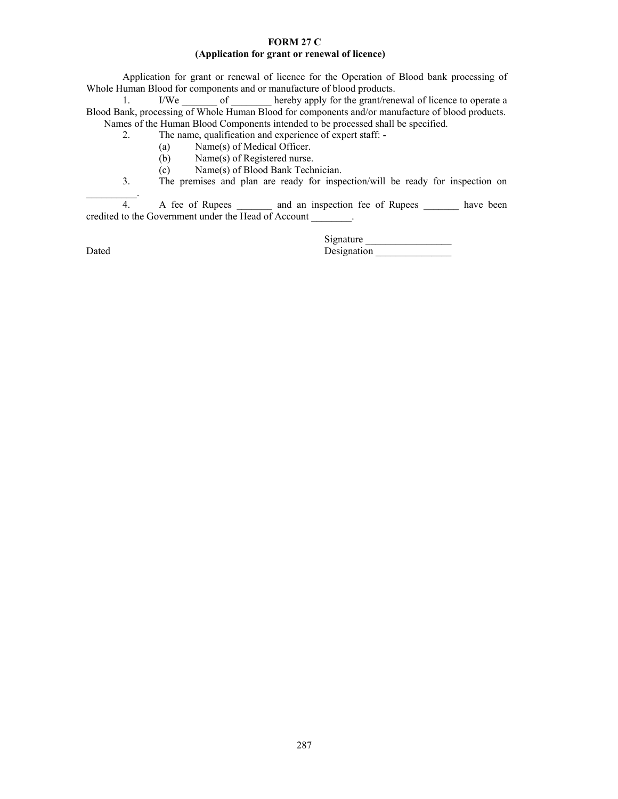#### **FORM 27 C**

### **(Application for grant or renewal of licence)**

 Application for grant or renewal of licence for the Operation of Blood bank processing of Whole Human Blood for components and or manufacture of blood products.<br>1. I/We of hereby apply for the grant/renewal of licence to operate a

1. I/We of hereby apply for the grant/renewal of licence to operate a Blood Bank, processing of Whole Human Blood for components and/or manufacture of blood products. Names of the Human Blood Components intended to be processed shall be specified.

2. The name, qualification and experience of expert staff: -

- (a) Name(s) of Medical Officer.
- (b) Name(s) of Registered nurse.
- (c) Name(s) of Blood Bank Technician.

3. The premises and plan are ready for inspection/will be ready for inspection on

4. A fee of Rupees \_\_\_\_\_\_\_ and an inspection fee of Rupees \_\_\_\_\_\_\_ have been credited to the Government under the Head of Account \_\_\_\_\_\_\_\_.

 $\mathcal{L}=\mathcal{L}^{\mathcal{L}}$ 

 $Signature$ Dated Designation Designation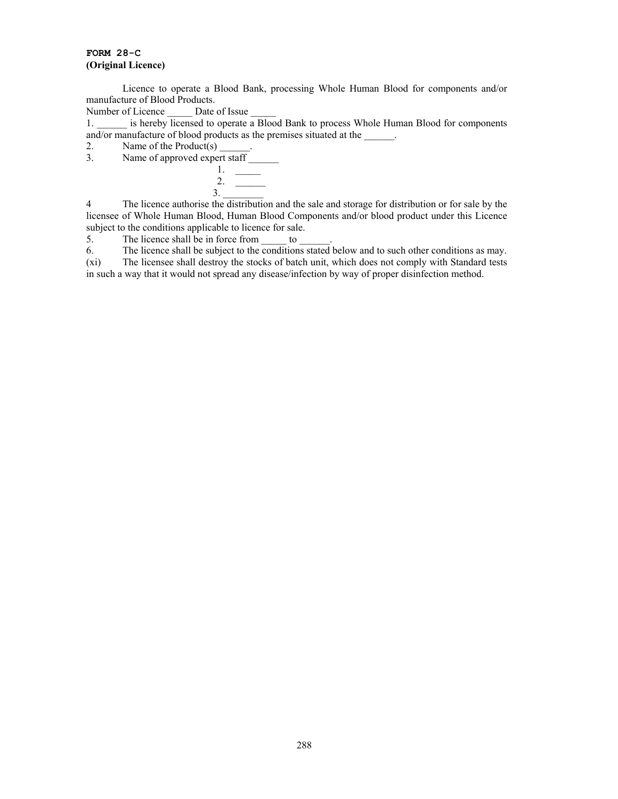# **FORM 28-C (Original Licence)**

 Licence to operate a Blood Bank, processing Whole Human Blood for components and/or manufacture of Blood Products.<br>Number of Licence \_\_\_\_\_\_\_ Date of Issue

Number of Licence

1. is hereby licensed to operate a Blood Bank to process Whole Human Blood for components  $\overline{and/or}}$  manufacture of blood products as the premises situated at the  $\overline{a}$ .

2. Name of the Product(s)

3. Name of approved expert staff



4 The licence authorise the distribution and the sale and storage for distribution or for sale by the licensee of Whole Human Blood, Human Blood Components and/or blood product under this Licence subject to the conditions applicable to licence for sale.

5. The licence shall be in force from \_\_\_\_\_\_\_ to \_\_\_\_\_\_.

6. The licence shall be subject to the conditions stated below and to such other conditions as may.

(xi) The licensee shall destroy the stocks of batch unit, which does not comply with Standard tests in such a way that it would not spread any disease/infection by way of proper disinfection method.